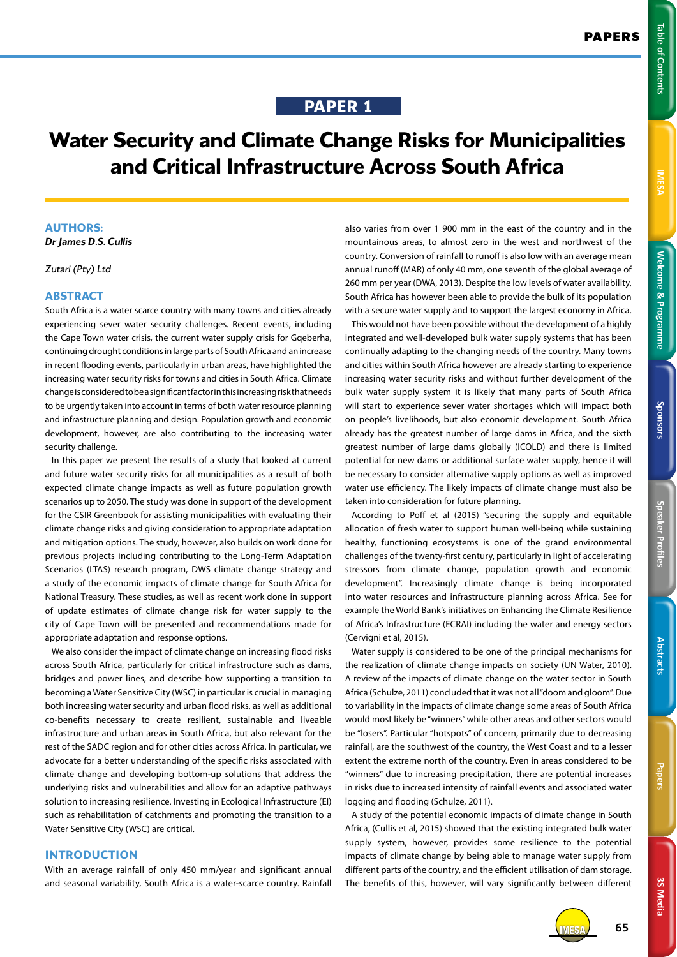**Welcome & Programme Table of Contents IMESA** 

Welcome & Programme

Sponsors

**IMESA** 

**Table of Contents** 

## **PAPER 1**

# **Water Security and Climate Change Risks for Municipalities and Critical Infrastructure Across South Africa**

## **AUTHORS:**

*Dr James D.S. Cullis*

*Zutari (Pty) Ltd*

## **ABSTRACT**

South Africa is a water scarce country with many towns and cities already experiencing sever water security challenges. Recent events, including the Cape Town water crisis, the current water supply crisis for Gqeberha, continuing drought conditions in large parts of South Africa and an increase in recent flooding events, particularly in urban areas, have highlighted the increasing water security risks for towns and cities in South Africa. Climate change is considered to be a significant factor in this increasing risk that needs to be urgently taken into account in terms of both water resource planning and infrastructure planning and design. Population growth and economic development, however, are also contributing to the increasing water security challenge.

In this paper we present the results of a study that looked at current and future water security risks for all municipalities as a result of both expected climate change impacts as well as future population growth scenarios up to 2050. The study was done in support of the development for the CSIR Greenbook for assisting municipalities with evaluating their climate change risks and giving consideration to appropriate adaptation and mitigation options. The study, however, also builds on work done for previous projects including contributing to the Long-Term Adaptation Scenarios (LTAS) research program, DWS climate change strategy and a study of the economic impacts of climate change for South Africa for National Treasury. These studies, as well as recent work done in support of update estimates of climate change risk for water supply to the city of Cape Town will be presented and recommendations made for appropriate adaptation and response options.

We also consider the impact of climate change on increasing flood risks across South Africa, particularly for critical infrastructure such as dams, bridges and power lines, and describe how supporting a transition to becoming a Water Sensitive City (WSC) in particular is crucial in managing both increasing water security and urban flood risks, as well as additional co-benefits necessary to create resilient, sustainable and liveable infrastructure and urban areas in South Africa, but also relevant for the rest of the SADC region and for other cities across Africa. In particular, we advocate for a better understanding of the specific risks associated with climate change and developing bottom-up solutions that address the underlying risks and vulnerabilities and allow for an adaptive pathways solution to increasing resilience. Investing in Ecological Infrastructure (EI) such as rehabilitation of catchments and promoting the transition to a Water Sensitive City (WSC) are critical.

## **INTRODUCTION**

With an average rainfall of only 450 mm/year and significant annual and seasonal variability, South Africa is a water-scarce country. Rainfall

also varies from over 1 900 mm in the east of the country and in the mountainous areas, to almost zero in the west and northwest of the country. Conversion of rainfall to runoff is also low with an average mean annual runoff (MAR) of only 40 mm, one seventh of the global average of 260 mm per year (DWA, 2013). Despite the low levels of water availability, South Africa has however been able to provide the bulk of its population with a secure water supply and to support the largest economy in Africa.

This would not have been possible without the development of a highly integrated and well-developed bulk water supply systems that has been continually adapting to the changing needs of the country. Many towns and cities within South Africa however are already starting to experience increasing water security risks and without further development of the bulk water supply system it is likely that many parts of South Africa will start to experience sever water shortages which will impact both on people's livelihoods, but also economic development. South Africa already has the greatest number of large dams in Africa, and the sixth greatest number of large dams globally (ICOLD) and there is limited potential for new dams or additional surface water supply, hence it will be necessary to consider alternative supply options as well as improved water use efficiency. The likely impacts of climate change must also be taken into consideration for future planning.

According to Poff et al (2015) "securing the supply and equitable allocation of fresh water to support human well-being while sustaining healthy, functioning ecosystems is one of the grand environmental challenges of the twenty-first century, particularly in light of accelerating stressors from climate change, population growth and economic development". Increasingly climate change is being incorporated into water resources and infrastructure planning across Africa. See for example the World Bank's initiatives on Enhancing the Climate Resilience of Africa's Infrastructure (ECRAI) including the water and energy sectors (Cervigni et al, 2015).

Water supply is considered to be one of the principal mechanisms for the realization of climate change impacts on society (UN Water, 2010). A review of the impacts of climate change on the water sector in South Africa (Schulze, 2011) concluded that it was not all "doom and gloom". Due to variability in the impacts of climate change some areas of South Africa would most likely be "winners" while other areas and other sectors would be "losers". Particular "hotspots" of concern, primarily due to decreasing rainfall, are the southwest of the country, the West Coast and to a lesser extent the extreme north of the country. Even in areas considered to be "winners" due to increasing precipitation, there are potential increases in risks due to increased intensity of rainfall events and associated water logging and flooding (Schulze, 2011).

A study of the potential economic impacts of climate change in South Africa, (Cullis et al, 2015) showed that the existing integrated bulk water supply system, however, provides some resilience to the potential impacts of climate change by being able to manage water supply from different parts of the country, and the efficient utilisation of dam storage. The benefits of this, however, will vary significantly between different

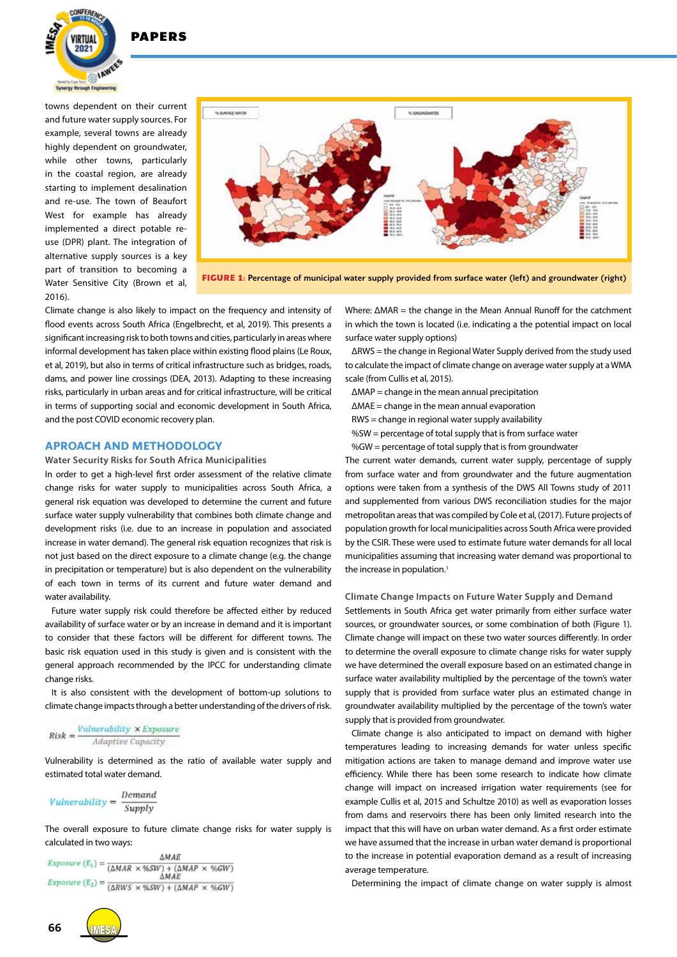

towns dependent on their current and future water supply sources. For example, several towns are already highly dependent on groundwater, while other towns, particularly in the coastal region, are already starting to implement desalination and re-use. The town of Beaufort West for example has already implemented a direct potable reuse (DPR) plant. The integration of alternative supply sources is a key part of transition to becoming a Water Sensitive City (Brown et al, 2016).



**FIGURE 1:** Percentage of municipal water supply provided from surface water (left) and groundwater (right)

Climate change is also likely to impact on the frequency and intensity of flood events across South Africa (Engelbrecht, et al, 2019). This presents a significant increasing risk to both towns and cities, particularly in areas where informal development has taken place within existing flood plains (Le Roux, et al, 2019), but also in terms of critical infrastructure such as bridges, roads, dams, and power line crossings (DEA, 2013). Adapting to these increasing risks, particularly in urban areas and for critical infrastructure, will be critical in terms of supporting social and economic development in South Africa, and the post COVID economic recovery plan.

#### **APROACH AND METHODOLOGY**

**Water Security Risks for South Africa Municipalities** 

In order to get a high-level first order assessment of the relative climate change risks for water supply to municipalities across South Africa, a general risk equation was developed to determine the current and future surface water supply vulnerability that combines both climate change and development risks (i.e. due to an increase in population and associated increase in water demand). The general risk equation recognizes that risk is not just based on the direct exposure to a climate change (e.g. the change in precipitation or temperature) but is also dependent on the vulnerability of each town in terms of its current and future water demand and water availability.

Future water supply risk could therefore be affected either by reduced availability of surface water or by an increase in demand and it is important to consider that these factors will be different for different towns. The basic risk equation used in this study is given and is consistent with the general approach recommended by the IPCC for understanding climate change risks.

It is also consistent with the development of bottom-up solutions to climate change impacts through a better understanding of the drivers of risk.

$$
Risk = \frac{Vunderability \times Exposure}{Adaptive Capacity}
$$

Vulnerability is determined as the ratio of available water supply and estimated total water demand.

$$
Vulnerability = \frac{Demand}{Supply}
$$

The overall exposure to future climate change risks for water supply is calculated in two ways:

**AMAR**  $\begin{aligned} \textit{Exposure } (E_1) = \frac{\Delta MAE}{(\Delta MAR \times \%SW) + (\Delta MAP \times \%GW)} \\ \textit{Exposure } (E_1) = \frac{\Delta MAE}{\Delta MAE} \end{aligned}$ Exposure  $(E_2) = \frac{\Delta MAE}{(\Delta RWS \times \%SW) + (\Delta MAP \times \%GW)}$ 

Where: ΔMAR = the change in the Mean Annual Runoff for the catchment in which the town is located (i.e. indicating a the potential impact on local surface water supply options)

ΔRWS = the change in Regional Water Supply derived from the study used to calculate the impact of climate change on average water supply at a WMA scale (from Cullis et al, 2015).

- ΔMAP = change in the mean annual precipitation
- ΔMAE = change in the mean annual evaporation
- RWS = change in regional water supply availability
- %SW = percentage of total supply that is from surface water
- $%$ GW = percentage of total supply that is from groundwater

The current water demands, current water supply, percentage of supply from surface water and from groundwater and the future augmentation options were taken from a synthesis of the DWS All Towns study of 2011 and supplemented from various DWS reconciliation studies for the major metropolitan areas that was compiled by Cole et al, (2017). Future projects of population growth for local municipalities across South Africa were provided by the CSIR. These were used to estimate future water demands for all local municipalities assuming that increasing water demand was proportional to the increase in population.<sup>1</sup>

**Climate Change Impacts on Future Water Supply and Demand**

Settlements in South Africa get water primarily from either surface water sources, or groundwater sources, or some combination of both (Figure 1). Climate change will impact on these two water sources differently. In order to determine the overall exposure to climate change risks for water supply we have determined the overall exposure based on an estimated change in surface water availability multiplied by the percentage of the town's water supply that is provided from surface water plus an estimated change in groundwater availability multiplied by the percentage of the town's water supply that is provided from groundwater.

Climate change is also anticipated to impact on demand with higher temperatures leading to increasing demands for water unless specific mitigation actions are taken to manage demand and improve water use efficiency. While there has been some research to indicate how climate change will impact on increased irrigation water requirements (see for example Cullis et al, 2015 and Schultze 2010) as well as evaporation losses from dams and reservoirs there has been only limited research into the impact that this will have on urban water demand. As a first order estimate we have assumed that the increase in urban water demand is proportional to the increase in potential evaporation demand as a result of increasing average temperature.

Determining the impact of climate change on water supply is almost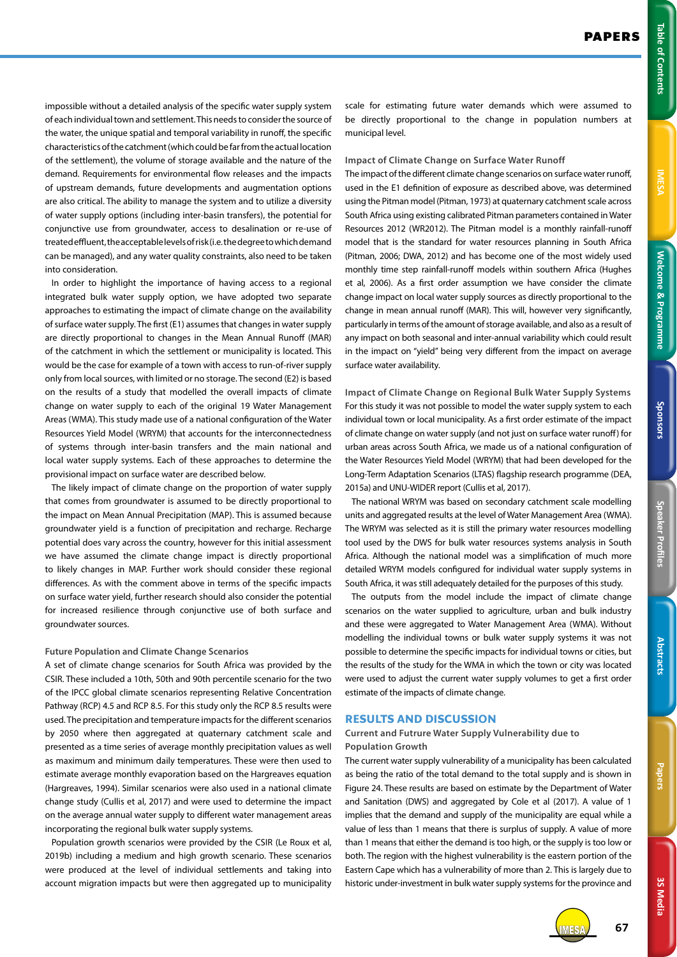impossible without a detailed analysis of the specific water supply system of each individual town and settlement. This needs to consider the source of the water, the unique spatial and temporal variability in runoff, the specific characteristics of the catchment (which could be far from the actual location of the settlement), the volume of storage available and the nature of the demand. Requirements for environmental flow releases and the impacts of upstream demands, future developments and augmentation options are also critical. The ability to manage the system and to utilize a diversity of water supply options (including inter-basin transfers), the potential for conjunctive use from groundwater, access to desalination or re-use of treated effluent, the acceptable levels of risk (i.e. the degree to which demand can be managed), and any water quality constraints, also need to be taken into consideration.

In order to highlight the importance of having access to a regional integrated bulk water supply option, we have adopted two separate approaches to estimating the impact of climate change on the availability of surface water supply. The first (E1) assumes that changes in water supply are directly proportional to changes in the Mean Annual Runoff (MAR) of the catchment in which the settlement or municipality is located. This would be the case for example of a town with access to run-of-river supply only from local sources, with limited or no storage. The second (E2) is based on the results of a study that modelled the overall impacts of climate change on water supply to each of the original 19 Water Management Areas (WMA). This study made use of a national configuration of the Water Resources Yield Model (WRYM) that accounts for the interconnectedness of systems through inter-basin transfers and the main national and local water supply systems. Each of these approaches to determine the provisional impact on surface water are described below.

The likely impact of climate change on the proportion of water supply that comes from groundwater is assumed to be directly proportional to the impact on Mean Annual Precipitation (MAP). This is assumed because groundwater yield is a function of precipitation and recharge. Recharge potential does vary across the country, however for this initial assessment we have assumed the climate change impact is directly proportional to likely changes in MAP. Further work should consider these regional differences. As with the comment above in terms of the specific impacts on surface water yield, further research should also consider the potential for increased resilience through conjunctive use of both surface and groundwater sources.

### **Future Population and Climate Change Scenarios**

A set of climate change scenarios for South Africa was provided by the CSIR. These included a 10th, 50th and 90th percentile scenario for the two of the IPCC global climate scenarios representing Relative Concentration Pathway (RCP) 4.5 and RCP 8.5. For this study only the RCP 8.5 results were used. The precipitation and temperature impacts for the different scenarios by 2050 where then aggregated at quaternary catchment scale and presented as a time series of average monthly precipitation values as well as maximum and minimum daily temperatures. These were then used to estimate average monthly evaporation based on the Hargreaves equation (Hargreaves, 1994). Similar scenarios were also used in a national climate change study (Cullis et al, 2017) and were used to determine the impact on the average annual water supply to different water management areas incorporating the regional bulk water supply systems.

Population growth scenarios were provided by the CSIR (Le Roux et al, 2019b) including a medium and high growth scenario. These scenarios were produced at the level of individual settlements and taking into account migration impacts but were then aggregated up to municipality

scale for estimating future water demands which were assumed to be directly proportional to the change in population numbers at municipal level.

#### **Impact of Climate Change on Surface Water Runoff**

The impact of the different climate change scenarios on surface water runoff, used in the E1 definition of exposure as described above, was determined using the Pitman model (Pitman, 1973) at quaternary catchment scale across South Africa using existing calibrated Pitman parameters contained in Water Resources 2012 (WR2012). The Pitman model is a monthly rainfall-runoff model that is the standard for water resources planning in South Africa (Pitman, 2006; DWA, 2012) and has become one of the most widely used monthly time step rainfall-runoff models within southern Africa (Hughes et al, 2006). As a first order assumption we have consider the climate change impact on local water supply sources as directly proportional to the change in mean annual runoff (MAR). This will, however very significantly, particularly in terms of the amount of storage available, and also as a result of any impact on both seasonal and inter-annual variability which could result in the impact on "yield" being very different from the impact on average surface water availability.

**Impact of Climate Change on Regional Bulk Water Supply Systems**  For this study it was not possible to model the water supply system to each individual town or local municipality. As a first order estimate of the impact of climate change on water supply (and not just on surface water runoff) for urban areas across South Africa, we made us of a national configuration of the Water Resources Yield Model (WRYM) that had been developed for the Long-Term Adaptation Scenarios (LTAS) flagship research programme (DEA, 2015a) and UNU-WIDER report (Cullis et al, 2017).

The national WRYM was based on secondary catchment scale modelling units and aggregated results at the level of Water Management Area (WMA). The WRYM was selected as it is still the primary water resources modelling tool used by the DWS for bulk water resources systems analysis in South Africa. Although the national model was a simplification of much more detailed WRYM models configured for individual water supply systems in South Africa, it was still adequately detailed for the purposes of this study.

The outputs from the model include the impact of climate change scenarios on the water supplied to agriculture, urban and bulk industry and these were aggregated to Water Management Area (WMA). Without modelling the individual towns or bulk water supply systems it was not possible to determine the specific impacts for individual towns or cities, but the results of the study for the WMA in which the town or city was located were used to adjust the current water supply volumes to get a first order estimate of the impacts of climate change.

## **RESULTS AND DISCUSSION**

## **Current and Futrure Water Supply Vulnerability due to Population Growth**

The current water supply vulnerability of a municipality has been calculated as being the ratio of the total demand to the total supply and is shown in Figure 24. These results are based on estimate by the Department of Water and Sanitation (DWS) and aggregated by Cole et al (2017). A value of 1 implies that the demand and supply of the municipality are equal while a value of less than 1 means that there is surplus of supply. A value of more than 1 means that either the demand is too high, or the supply is too low or both. The region with the highest vulnerability is the eastern portion of the Eastern Cape which has a vulnerability of more than 2. This is largely due to historic under-investment in bulk water supply systems for the province and



**3S Media**

3S Media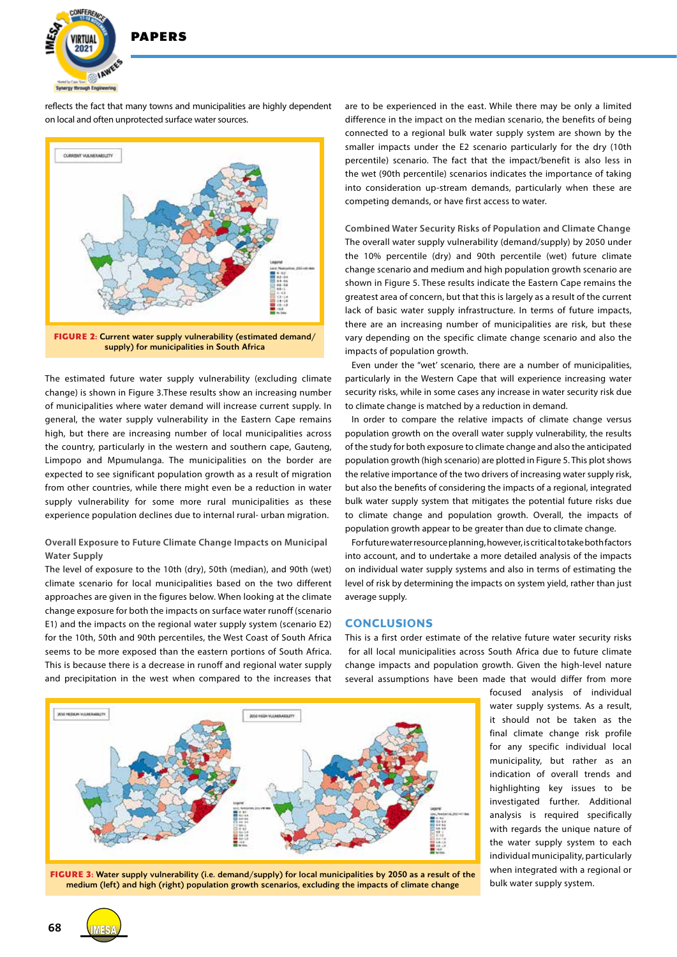

reflects the fact that many towns and municipalities are highly dependent on local and often unprotected surface water sources.



supply) for municipalities in South Africa

The estimated future water supply vulnerability (excluding climate change) is shown in Figure 3.These results show an increasing number of municipalities where water demand will increase current supply. In general, the water supply vulnerability in the Eastern Cape remains high, but there are increasing number of local municipalities across the country, particularly in the western and southern cape, Gauteng, Limpopo and Mpumulanga. The municipalities on the border are expected to see significant population growth as a result of migration from other countries, while there might even be a reduction in water supply vulnerability for some more rural municipalities as these experience population declines due to internal rural- urban migration.

## **Overall Exposure to Future Climate Change Impacts on Municipal Water Supply**

The level of exposure to the 10th (dry), 50th (median), and 90th (wet) climate scenario for local municipalities based on the two different approaches are given in the figures below. When looking at the climate change exposure for both the impacts on surface water runoff (scenario E1) and the impacts on the regional water supply system (scenario E2) for the 10th, 50th and 90th percentiles, the West Coast of South Africa seems to be more exposed than the eastern portions of South Africa. This is because there is a decrease in runoff and regional water supply and precipitation in the west when compared to the increases that are to be experienced in the east. While there may be only a limited difference in the impact on the median scenario, the benefits of being connected to a regional bulk water supply system are shown by the smaller impacts under the E2 scenario particularly for the dry (10th percentile) scenario. The fact that the impact/benefit is also less in the wet (90th percentile) scenarios indicates the importance of taking into consideration up-stream demands, particularly when these are competing demands, or have first access to water.

**Combined Water Security Risks of Population and Climate Change** The overall water supply vulnerability (demand/supply) by 2050 under the 10% percentile (dry) and 90th percentile (wet) future climate change scenario and medium and high population growth scenario are shown in Figure 5. These results indicate the Eastern Cape remains the greatest area of concern, but that this is largely as a result of the current lack of basic water supply infrastructure. In terms of future impacts, there are an increasing number of municipalities are risk, but these vary depending on the specific climate change scenario and also the impacts of population growth.

Even under the "wet' scenario, there are a number of municipalities, particularly in the Western Cape that will experience increasing water security risks, while in some cases any increase in water security risk due to climate change is matched by a reduction in demand.

In order to compare the relative impacts of climate change versus population growth on the overall water supply vulnerability, the results of the study for both exposure to climate change and also the anticipated population growth (high scenario) are plotted in Figure 5. This plot shows the relative importance of the two drivers of increasing water supply risk, but also the benefits of considering the impacts of a regional, integrated bulk water supply system that mitigates the potential future risks due to climate change and population growth. Overall, the impacts of population growth appear to be greater than due to climate change.

For future water resource planning, however, is critical to take both factors into account, and to undertake a more detailed analysis of the impacts on individual water supply systems and also in terms of estimating the level of risk by determining the impacts on system yield, rather than just average supply.

## **CONCLUSIONS**

This is a first order estimate of the relative future water security risks for all local municipalities across South Africa due to future climate change impacts and population growth. Given the high-level nature several assumptions have been made that would differ from more



focused analysis of individual water supply systems. As a result. it should not be taken as the final climate change risk profile for any specific individual local municipality, but rather as an indication of overall trends and highlighting key issues to be investigated further. Additional analysis is required specifically with regards the unique nature of the water supply system to each individual municipality, particularly when integrated with a regional or bulk water supply system.

**FIGURE 3:** Water supply vulnerability (i.e. demand/supply) for local municipalities by 2050 as a result of the medium (left) and high (right) population growth scenarios, excluding the impacts of climate change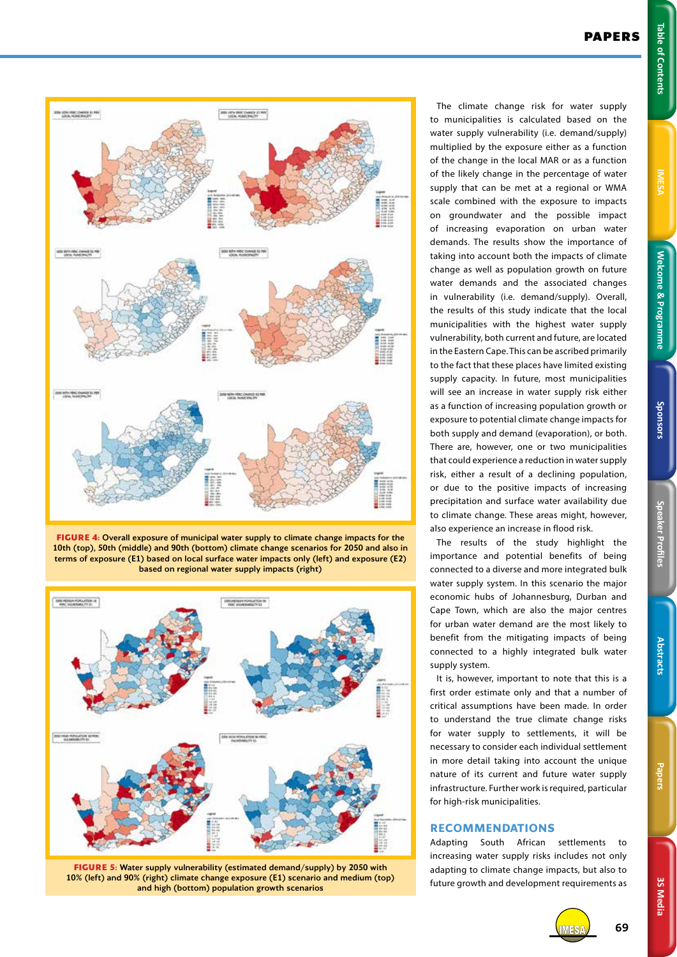3S Media **3S Media**



**FIGURE 4:** Overall exposure of municipal water supply to climate change impacts for the 10th (top), 50th (middle) and 90th (bottom) climate change scenarios for 2050 and also in terms of exposure (E1) based on local surface water impacts only (left) and exposure (E2) based on regional water supply impacts (right)



**FIGURE 5:** Water supply vulnerability (estimated demand/supply) by 2050 with 10% (left) and 90% (right) climate change exposure (E1) scenario and medium (top) and high (bottom) population growth scenarios

The climate change risk for water supply to municipalities is calculated based on the water supply vulnerability (i.e. demand/supply) multiplied by the exposure either as a function of the change in the local MAR or as a function of the likely change in the percentage of water supply that can be met at a regional or WMA scale combined with the exposure to impacts on groundwater and the possible impact of increasing evaporation on urban water demands. The results show the importance of taking into account both the impacts of climate change as well as population growth on future water demands and the associated changes in vulnerability (i.e. demand/supply). Overall, the results of this study indicate that the local municipalities with the highest water supply vulnerability, both current and future, are located in the Eastern Cape. This can be ascribed primarily to the fact that these places have limited existing supply capacity. In future, most municipalities will see an increase in water supply risk either as a function of increasing population growth or exposure to potential climate change impacts for both supply and demand (evaporation), or both. There are, however, one or two municipalities that could experience a reduction in water supply risk, either a result of a declining population, or due to the positive impacts of increasing precipitation and surface water availability due to climate change. These areas might, however, also experience an increase in flood risk.

The results of the study highlight the importance and potential benefits of being connected to a diverse and more integrated bulk water supply system. In this scenario the major economic hubs of Johannesburg, Durban and Cape Town, which are also the major centres for urban water demand are the most likely to benefit from the mitigating impacts of being connected to a highly integrated bulk water supply system.

It is, however, important to note that this is a first order estimate only and that a number of critical assumptions have been made. In order to understand the true climate change risks for water supply to settlements, it will be necessary to consider each individual settlement in more detail taking into account the unique nature of its current and future water supply infrastructure. Further work is required, particular for high-risk municipalities.

## **RECOMMENDATIONS**

Adapting South African settlements to increasing water supply risks includes not only adapting to climate change impacts, but also to future growth and development requirements as

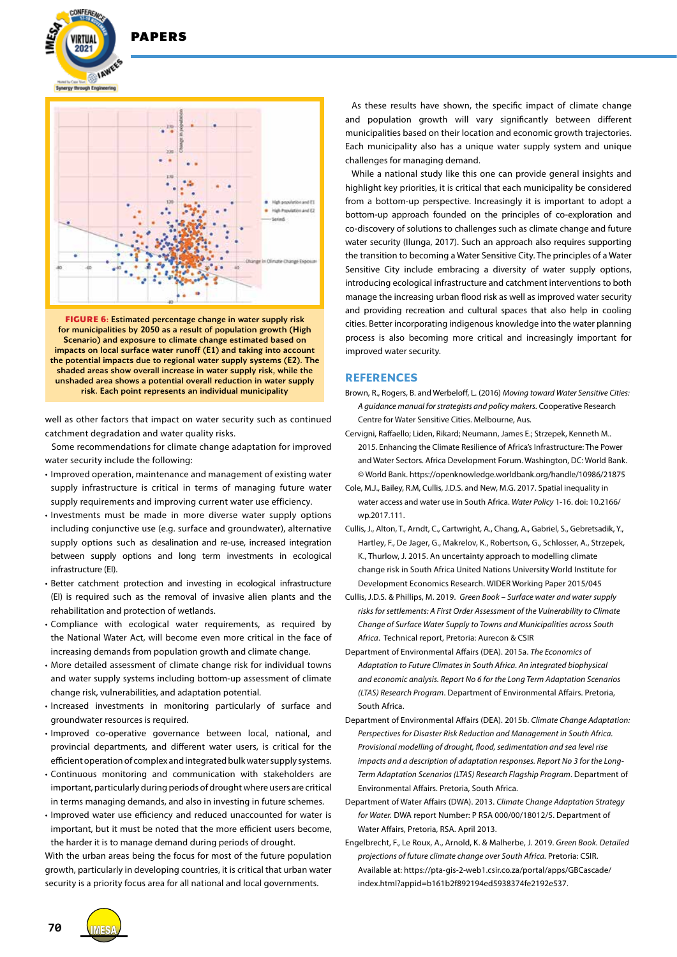**DADEDS** 





**FIGURE 6:** Estimated percentage change in water supply risk for municipalities by 2050 as a result of population growth (High Scenario) and exposure to climate change estimated based on impacts on local surface water runoff (E1) and taking into account the potential impacts due to regional water supply systems (E2). The shaded areas show overall increase in water supply risk, while the unshaded area shows a potential overall reduction in water supply risk. Each point represents an individual municipality

well as other factors that impact on water security such as continued catchment degradation and water quality risks.

Some recommendations for climate change adaptation for improved water security include the following:

- Improved operation, maintenance and management of existing water supply infrastructure is critical in terms of managing future water supply requirements and improving current water use efficiency.
- Investments must be made in more diverse water supply options including conjunctive use (e.g. surface and groundwater), alternative supply options such as desalination and re-use, increased integration between supply options and long term investments in ecological infrastructure (EI).
- Better catchment protection and investing in ecological infrastructure (EI) is required such as the removal of invasive alien plants and the rehabilitation and protection of wetlands.
- Compliance with ecological water requirements, as required by the National Water Act, will become even more critical in the face of increasing demands from population growth and climate change.
- More detailed assessment of climate change risk for individual towns and water supply systems including bottom-up assessment of climate change risk, vulnerabilities, and adaptation potential.
- Increased investments in monitoring particularly of surface and groundwater resources is required.
- Improved co-operative governance between local, national, and provincial departments, and different water users, is critical for the efficient operation of complex and integrated bulk water supply systems.
- Continuous monitoring and communication with stakeholders are important, particularly during periods of drought where users are critical in terms managing demands, and also in investing in future schemes.
- Improved water use efficiency and reduced unaccounted for water is important, but it must be noted that the more efficient users become, the harder it is to manage demand during periods of drought.

With the urban areas being the focus for most of the future population growth, particularly in developing countries, it is critical that urban water security is a priority focus area for all national and local governments.

As these results have shown, the specific impact of climate change and population growth will vary significantly between different municipalities based on their location and economic growth trajectories. Each municipality also has a unique water supply system and unique challenges for managing demand.

While a national study like this one can provide general insights and highlight key priorities, it is critical that each municipality be considered from a bottom-up perspective. Increasingly it is important to adopt a bottom-up approach founded on the principles of co-exploration and co-discovery of solutions to challenges such as climate change and future water security (Ilunga, 2017). Such an approach also requires supporting the transition to becoming a Water Sensitive City. The principles of a Water Sensitive City include embracing a diversity of water supply options, introducing ecological infrastructure and catchment interventions to both manage the increasing urban flood risk as well as improved water security and providing recreation and cultural spaces that also help in cooling cities. Better incorporating indigenous knowledge into the water planning process is also becoming more critical and increasingly important for improved water security.

## **REFERENCES**

- Brown, R., Rogers, B. and Werbeloff, L. (2016) *Moving toward Water Sensitive Cities: A guidance manual for strategists and policy makers*. Cooperative Research Centre for Water Sensitive Cities. Melbourne, Aus.
- Cervigni, Raffaello; Liden, Rikard; Neumann, James E.; Strzepek, Kenneth M.. 2015. Enhancing the Climate Resilience of Africa's Infrastructure: The Power and Water Sectors. Africa Development Forum. Washington, DC: World Bank. © World Bank. https://openknowledge.worldbank.org/handle/10986/21875
- Cole, M.J., Bailey, R.M, Cullis, J.D.S. and New, M.G. 2017. Spatial inequality in water access and water use in South Africa. *Water Policy* 1-16. doi: 10.2166/ wp.2017.111.
- Cullis, J., Alton, T., Arndt, C., Cartwright, A., Chang, A., Gabriel, S., Gebretsadik, Y., Hartley, F., De Jager, G., Makrelov, K., Robertson, G., Schlosser, A., Strzepek, K., Thurlow, J. 2015. An uncertainty approach to modelling climate change risk in South Africa United Nations University World Institute for Development Economics Research. WIDER Working Paper 2015/045
- Cullis, J.D.S. & Phillips, M. 2019. *Green Book Surface water and water supply risks for settlements: A First Order Assessment of the Vulnerability to Climate Change of Surface Water Supply to Towns and Municipalities across South Africa*. Technical report, Pretoria: Aurecon & CSIR
- Department of Environmental Affairs (DEA). 2015a. *The Economics of Adaptation to Future Climates in South Africa. An integrated biophysical and economic analysis. Report No 6 for the Long Term Adaptation Scenarios (LTAS) Research Program*. Department of Environmental Affairs. Pretoria, South Africa.
- Department of Environmental Affairs (DEA). 2015b. *Climate Change Adaptation: Perspectives for Disaster Risk Reduction and Management in South Africa. Provisional modelling of drought, flood, sedimentation and sea level rise impacts and a description of adaptation responses. Report No 3 for the Long-Term Adaptation Scenarios (LTAS) Research Flagship Program*. Department of Environmental Affairs. Pretoria, South Africa.
- Department of Water Affairs (DWA). 2013. *Climate Change Adaptation Strategy for Water.* DWA report Number: P RSA 000/00/18012/5. Department of Water Affairs, Pretoria, RSA. April 2013.
- Engelbrecht, F., Le Roux, A., Arnold, K. & Malherbe, J. 2019. *Green Book. Detailed projections of future climate change over South Africa.* Pretoria: CSIR. Available at: https://pta-gis-2-web1.csir.co.za/portal/apps/GBCascade/ index.html?appid=b161b2f892194ed5938374fe2192e537.

**70**